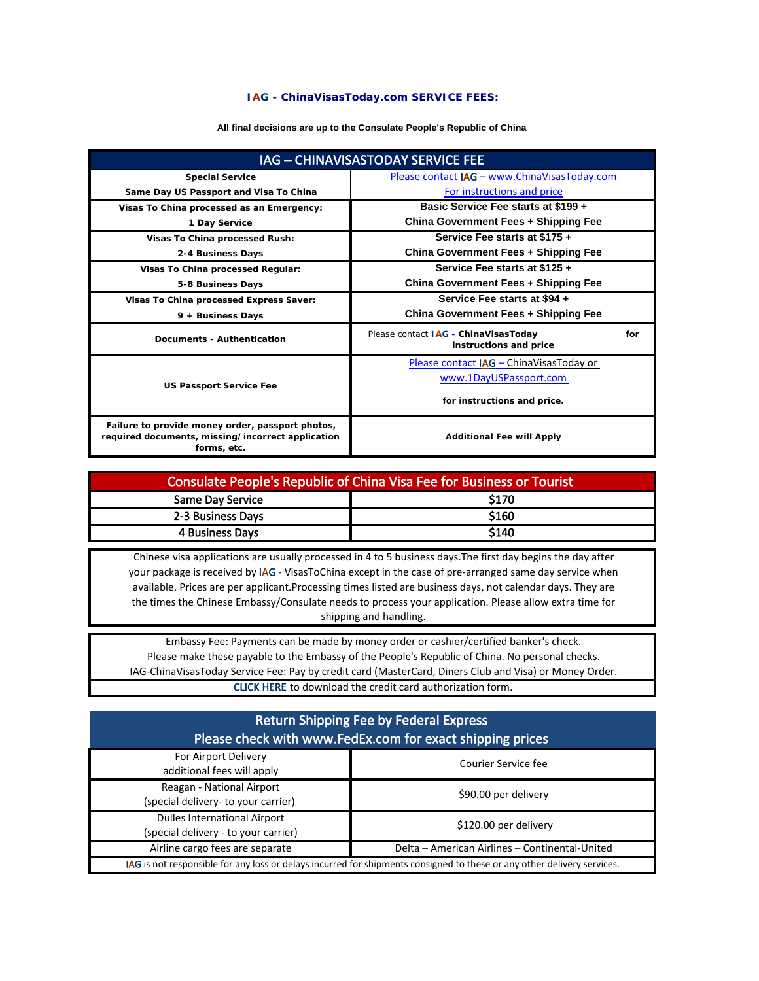## **IAG - ChinaVisasToday.com SERVICE FEES:**

## **All final decisions are up to the Consulate People's Republic of China**

| IAG - CHINAVISASTODAY SERVICE FEE                                                                                    |                                                                       |  |
|----------------------------------------------------------------------------------------------------------------------|-----------------------------------------------------------------------|--|
| <b>Special Service</b>                                                                                               | Please contact IAG - www.ChinaVisasToday.com                          |  |
| Same Day US Passport and Visa To China                                                                               | For instructions and price                                            |  |
| Visas To China processed as an Emergency:                                                                            | Basic Service Fee starts at \$199 +                                   |  |
| 1 Day Service                                                                                                        | China Government Fees + Shipping Fee                                  |  |
| Visas To China processed Rush:                                                                                       | Service Fee starts at \$175 +                                         |  |
| 2-4 Business Days                                                                                                    | China Government Fees + Shipping Fee                                  |  |
| Visas To China processed Regular:                                                                                    | Service Fee starts at \$125 +                                         |  |
| 5-8 Business Days                                                                                                    | China Government Fees + Shipping Fee                                  |  |
| Visas To China processed Express Saver:                                                                              | Service Fee starts at \$94 +                                          |  |
| 9 + Business Days                                                                                                    | China Government Fees + Shipping Fee                                  |  |
| Documents - Authentication                                                                                           | Please contact IAG - ChinaVisasToday<br>for<br>instructions and price |  |
| <b>US Passport Service Fee</b>                                                                                       | Please contact IAG - ChinaVisasToday or                               |  |
|                                                                                                                      | www.1DayUSPassport.com                                                |  |
|                                                                                                                      | for instructions and price.                                           |  |
| Failure to provide money order, passport photos,<br>required documents, missing/incorrect application<br>forms, etc. | <b>Additional Fee will Apply</b>                                      |  |

| Consulate People's Republic of China Visa Fee for Business or Tourist |       |  |
|-----------------------------------------------------------------------|-------|--|
| <b>Same Day Service</b>                                               | \$170 |  |
| 2-3 Business Days                                                     | \$160 |  |
| <b>4 Business Days</b>                                                | \$140 |  |

Chinese visa applications are usually processed in 4 to 5 business days.The first day begins the day after your package is received by IAG - VisasToChina except in the case of pre-arranged same day service when available. Prices are per applicant.Processing times listed are business days, not calendar days. They are the times the Chinese Embassy/Consulate needs to process your application. Please allow extra time for shipping and handling.

IAG-ChinaVisasToday Service Fee: Pay by credit card (MasterCard, Diners Club and Visa) or Money Order. CLICK HERE to download the credit card authorization form. Embassy Fee: Payments can be made by money order or cashier/certified banker's check. Please make these payable to the Embassy of the People's Republic of China. No personal checks.

| <b>Return Shipping Fee by Federal Express</b><br>Please check with www.FedEx.com for exact shipping prices              |                                                |  |
|-------------------------------------------------------------------------------------------------------------------------|------------------------------------------------|--|
| For Airport Delivery<br>additional fees will apply                                                                      | Courier Service fee                            |  |
| Reagan - National Airport<br>(special delivery- to your carrier)                                                        | \$90.00 per delivery                           |  |
| <b>Dulles International Airport</b><br>(special delivery - to your carrier)                                             | \$120.00 per delivery                          |  |
| Airline cargo fees are separate                                                                                         | Delta - American Airlines - Continental-United |  |
| IAG is not responsible for any loss or delays incurred for shipments consigned to these or any other delivery services. |                                                |  |